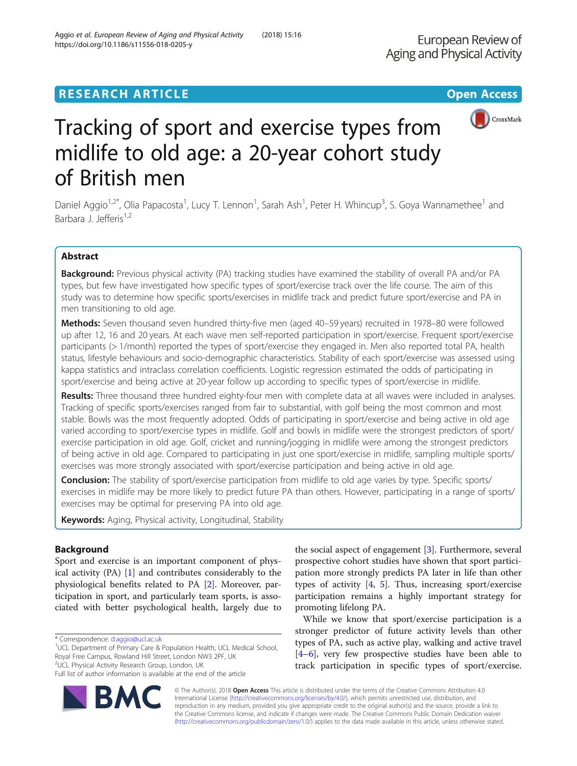https://doi.org/10.1186/s11556-018-0205-y

Aggio et al. European Review of Aging and Physical Activity (2018) 15:16





# Tracking of sport and exercise types from midlife to old age: a 20-year cohort study of British men

Daniel Aggio<sup>1,2\*</sup>, Olia Papacosta<sup>1</sup>, Lucy T. Lennon<sup>1</sup>, Sarah Ash<sup>1</sup>, Peter H. Whincup<sup>3</sup>, S. Goya Wannamethee<sup>1</sup> and Barbara J. Jefferis<sup>1,2</sup>

### Abstract

Background: Previous physical activity (PA) tracking studies have examined the stability of overall PA and/or PA types, but few have investigated how specific types of sport/exercise track over the life course. The aim of this study was to determine how specific sports/exercises in midlife track and predict future sport/exercise and PA in men transitioning to old age.

Methods: Seven thousand seven hundred thirty-five men (aged 40–59 years) recruited in 1978–80 were followed up after 12, 16 and 20 years. At each wave men self-reported participation in sport/exercise. Frequent sport/exercise participants (> 1/month) reported the types of sport/exercise they engaged in. Men also reported total PA, health status, lifestyle behaviours and socio-demographic characteristics. Stability of each sport/exercise was assessed using kappa statistics and intraclass correlation coefficients. Logistic regression estimated the odds of participating in sport/exercise and being active at 20-year follow up according to specific types of sport/exercise in midlife.

Results: Three thousand three hundred eighty-four men with complete data at all waves were included in analyses. Tracking of specific sports/exercises ranged from fair to substantial, with golf being the most common and most stable. Bowls was the most frequently adopted. Odds of participating in sport/exercise and being active in old age varied according to sport/exercise types in midlife. Golf and bowls in midlife were the strongest predictors of sport/ exercise participation in old age. Golf, cricket and running/jogging in midlife were among the strongest predictors of being active in old age. Compared to participating in just one sport/exercise in midlife, sampling multiple sports/ exercises was more strongly associated with sport/exercise participation and being active in old age.

Conclusion: The stability of sport/exercise participation from midlife to old age varies by type. Specific sports/ exercises in midlife may be more likely to predict future PA than others. However, participating in a range of sports/ exercises may be optimal for preserving PA into old age.

Keywords: Aging, Physical activity, Longitudinal, Stability

#### Background

Sport and exercise is an important component of physical activity (PA) [[1\]](#page-8-0) and contributes considerably to the physiological benefits related to PA [[2\]](#page-8-0). Moreover, participation in sport, and particularly team sports, is associated with better psychological health, largely due to

<sup>1</sup>UCL Department of Primary Care & Population Health, UCL Medical School, Royal Free Campus, Rowland Hill Street, London NW3 2PF, UK <sup>2</sup>UCL Physical Activity Research Group, London, UK



While we know that sport/exercise participation is a stronger predictor of future activity levels than other types of PA, such as active play, walking and active travel [[4](#page-8-0)–[6\]](#page-8-0), very few prospective studies have been able to track participation in specific types of sport/exercise.



© The Author(s). 2018 Open Access This article is distributed under the terms of the Creative Commons Attribution 4.0 International License [\(http://creativecommons.org/licenses/by/4.0/](http://creativecommons.org/licenses/by/4.0/)), which permits unrestricted use, distribution, and reproduction in any medium, provided you give appropriate credit to the original author(s) and the source, provide a link to the Creative Commons license, and indicate if changes were made. The Creative Commons Public Domain Dedication waiver [\(http://creativecommons.org/publicdomain/zero/1.0/](http://creativecommons.org/publicdomain/zero/1.0/)) applies to the data made available in this article, unless otherwise stated.

<sup>\*</sup> Correspondence: [d.aggio@ucl.ac.uk](mailto:d.aggio@ucl.ac.uk) <sup>1</sup>

Full list of author information is available at the end of the article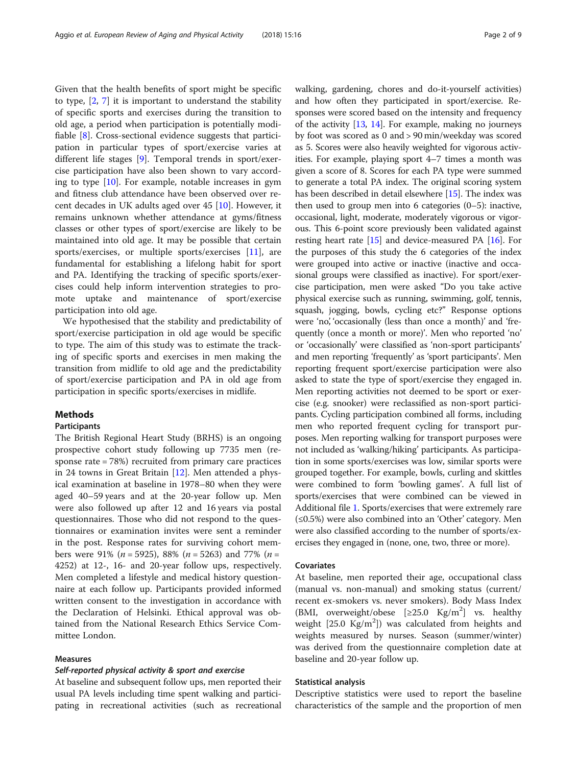Given that the health benefits of sport might be specific to type, [[2,](#page-8-0) [7](#page-8-0)] it is important to understand the stability of specific sports and exercises during the transition to old age, a period when participation is potentially modifiable [\[8](#page-8-0)]. Cross-sectional evidence suggests that participation in particular types of sport/exercise varies at different life stages [\[9\]](#page-8-0). Temporal trends in sport/exercise participation have also been shown to vary according to type  $[10]$  $[10]$ . For example, notable increases in gym and fitness club attendance have been observed over recent decades in UK adults aged over 45 [[10](#page-8-0)]. However, it remains unknown whether attendance at gyms/fitness classes or other types of sport/exercise are likely to be maintained into old age. It may be possible that certain sports/exercises, or multiple sports/exercises [\[11](#page-8-0)], are fundamental for establishing a lifelong habit for sport and PA. Identifying the tracking of specific sports/exercises could help inform intervention strategies to promote uptake and maintenance of sport/exercise participation into old age.

We hypothesised that the stability and predictability of sport/exercise participation in old age would be specific to type. The aim of this study was to estimate the tracking of specific sports and exercises in men making the transition from midlife to old age and the predictability of sport/exercise participation and PA in old age from participation in specific sports/exercises in midlife.

#### **Methods**

#### Participants

The British Regional Heart Study (BRHS) is an ongoing prospective cohort study following up 7735 men (response rate = 78%) recruited from primary care practices in 24 towns in Great Britain [[12\]](#page-8-0). Men attended a physical examination at baseline in 1978–80 when they were aged 40–59 years and at the 20-year follow up. Men were also followed up after 12 and 16 years via postal questionnaires. Those who did not respond to the questionnaires or examination invites were sent a reminder in the post. Response rates for surviving cohort members were 91% ( $n = 5925$ ), 88% ( $n = 5263$ ) and 77% ( $n =$ 4252) at 12-, 16- and 20-year follow ups, respectively. Men completed a lifestyle and medical history questionnaire at each follow up. Participants provided informed written consent to the investigation in accordance with the Declaration of Helsinki. Ethical approval was obtained from the National Research Ethics Service Committee London.

#### Measures

#### Self-reported physical activity & sport and exercise

At baseline and subsequent follow ups, men reported their usual PA levels including time spent walking and participating in recreational activities (such as recreational walking, gardening, chores and do-it-yourself activities) and how often they participated in sport/exercise. Responses were scored based on the intensity and frequency of the activity [\[13](#page-8-0), [14](#page-8-0)]. For example, making no journeys by foot was scored as 0 and > 90 min/weekday was scored as 5. Scores were also heavily weighted for vigorous activities. For example, playing sport 4–7 times a month was given a score of 8. Scores for each PA type were summed to generate a total PA index. The original scoring system has been described in detail elsewhere [[15](#page-8-0)]. The index was then used to group men into 6 categories (0–5): inactive, occasional, light, moderate, moderately vigorous or vigorous. This 6-point score previously been validated against resting heart rate [[15](#page-8-0)] and device-measured PA [\[16\]](#page-8-0). For the purposes of this study the 6 categories of the index were grouped into active or inactive (inactive and occasional groups were classified as inactive). For sport/exercise participation, men were asked "Do you take active physical exercise such as running, swimming, golf, tennis, squash, jogging, bowls, cycling etc?" Response options were 'no', 'occasionally (less than once a month)' and 'frequently (once a month or more)'. Men who reported 'no' or 'occasionally' were classified as 'non-sport participants' and men reporting 'frequently' as 'sport participants'. Men reporting frequent sport/exercise participation were also asked to state the type of sport/exercise they engaged in. Men reporting activities not deemed to be sport or exercise (e.g. snooker) were reclassified as non-sport participants. Cycling participation combined all forms, including men who reported frequent cycling for transport purposes. Men reporting walking for transport purposes were not included as 'walking/hiking' participants. As participation in some sports/exercises was low, similar sports were grouped together. For example, bowls, curling and skittles were combined to form 'bowling games'. A full list of sports/exercises that were combined can be viewed in Additional file [1](#page-7-0). Sports/exercises that were extremely rare (≤0.5%) were also combined into an 'Other' category. Men were also classified according to the number of sports/exercises they engaged in (none, one, two, three or more).

#### Covariates

At baseline, men reported their age, occupational class (manual vs. non-manual) and smoking status (current/ recent ex-smokers vs. never smokers). Body Mass Index (BMI, overweight/obese  $[≥25.0 Kg/m²]$  vs. healthy weight  $[25.0 \text{ Kg/m}^2]$ ) was calculated from heights and weights measured by nurses. Season (summer/winter) was derived from the questionnaire completion date at baseline and 20-year follow up.

#### Statistical analysis

Descriptive statistics were used to report the baseline characteristics of the sample and the proportion of men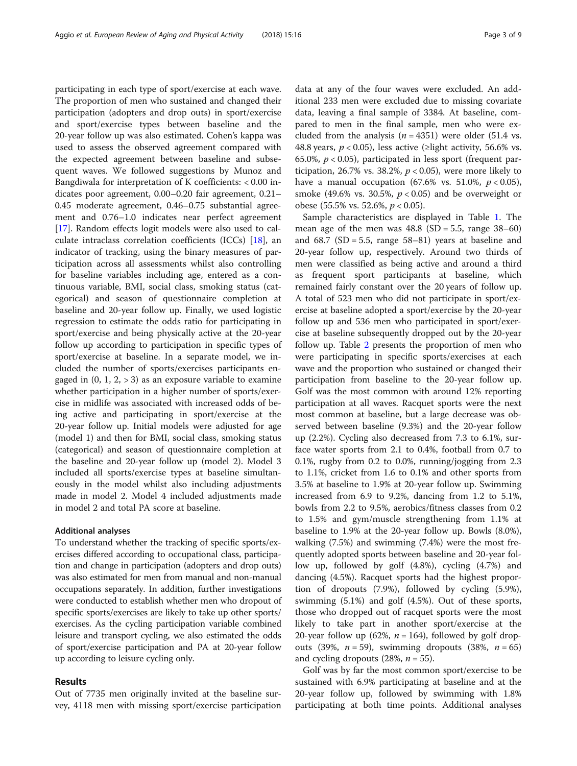participating in each type of sport/exercise at each wave. The proportion of men who sustained and changed their participation (adopters and drop outs) in sport/exercise and sport/exercise types between baseline and the 20-year follow up was also estimated. Cohen's kappa was used to assess the observed agreement compared with the expected agreement between baseline and subsequent waves. We followed suggestions by Munoz and Bangdiwala for interpretation of K coefficients: < 0.00 indicates poor agreement, 0.00–0.20 fair agreement, 0.21– 0.45 moderate agreement, 0.46–0.75 substantial agreement and 0.76–1.0 indicates near perfect agreement [[17\]](#page-8-0). Random effects logit models were also used to calculate intraclass correlation coefficients (ICCs) [\[18](#page-8-0)], an indicator of tracking, using the binary measures of participation across all assessments whilst also controlling for baseline variables including age, entered as a continuous variable, BMI, social class, smoking status (categorical) and season of questionnaire completion at baseline and 20-year follow up. Finally, we used logistic regression to estimate the odds ratio for participating in sport/exercise and being physically active at the 20-year follow up according to participation in specific types of sport/exercise at baseline. In a separate model, we included the number of sports/exercises participants engaged in  $(0, 1, 2, 3)$  as an exposure variable to examine whether participation in a higher number of sports/exercise in midlife was associated with increased odds of being active and participating in sport/exercise at the 20-year follow up. Initial models were adjusted for age (model 1) and then for BMI, social class, smoking status (categorical) and season of questionnaire completion at the baseline and 20-year follow up (model 2). Model 3 included all sports/exercise types at baseline simultaneously in the model whilst also including adjustments made in model 2. Model 4 included adjustments made in model 2 and total PA score at baseline.

#### Additional analyses

To understand whether the tracking of specific sports/exercises differed according to occupational class, participation and change in participation (adopters and drop outs) was also estimated for men from manual and non-manual occupations separately. In addition, further investigations were conducted to establish whether men who dropout of specific sports/exercises are likely to take up other sports/ exercises. As the cycling participation variable combined leisure and transport cycling, we also estimated the odds of sport/exercise participation and PA at 20-year follow up according to leisure cycling only.

#### Results

Out of 7735 men originally invited at the baseline survey, 4118 men with missing sport/exercise participation

data at any of the four waves were excluded. An additional 233 men were excluded due to missing covariate data, leaving a final sample of 3384. At baseline, compared to men in the final sample, men who were excluded from the analysis ( $n = 4351$ ) were older (51.4 vs. 48.8 years,  $p < 0.05$ ), less active (≥light activity, 56.6% vs. 65.0%,  $p < 0.05$ ), participated in less sport (frequent participation, 26.7% vs. 38.2%,  $p < 0.05$ ), were more likely to have a manual occupation  $(67.6\% \text{ vs. } 51.0\%, p < 0.05)$ , smoke (49.6% vs. 30.5%,  $p < 0.05$ ) and be overweight or obese (55.5% vs. 52.6%, p < 0.05).

Sample characteristics are displayed in Table [1](#page-3-0). The mean age of the men was  $48.8$  (SD = 5.5, range  $38-60$ ) and  $68.7$  (SD = 5.5, range  $58-81$ ) years at baseline and 20-year follow up, respectively. Around two thirds of men were classified as being active and around a third as frequent sport participants at baseline, which remained fairly constant over the 20 years of follow up. A total of 523 men who did not participate in sport/exercise at baseline adopted a sport/exercise by the 20-year follow up and 536 men who participated in sport/exercise at baseline subsequently dropped out by the 20-year follow up. Table [2](#page-3-0) presents the proportion of men who were participating in specific sports/exercises at each wave and the proportion who sustained or changed their participation from baseline to the 20-year follow up. Golf was the most common with around 12% reporting participation at all waves. Racquet sports were the next most common at baseline, but a large decrease was observed between baseline (9.3%) and the 20-year follow up (2.2%). Cycling also decreased from 7.3 to 6.1%, surface water sports from 2.1 to 0.4%, football from 0.7 to 0.1%, rugby from 0.2 to 0.0%, running/jogging from 2.3 to 1.1%, cricket from 1.6 to 0.1% and other sports from 3.5% at baseline to 1.9% at 20-year follow up. Swimming increased from 6.9 to 9.2%, dancing from 1.2 to 5.1%, bowls from 2.2 to 9.5%, aerobics/fitness classes from 0.2 to 1.5% and gym/muscle strengthening from 1.1% at baseline to 1.9% at the 20-year follow up. Bowls (8.0%), walking (7.5%) and swimming (7.4%) were the most frequently adopted sports between baseline and 20-year follow up, followed by golf (4.8%), cycling (4.7%) and dancing (4.5%). Racquet sports had the highest proportion of dropouts (7.9%), followed by cycling (5.9%), swimming (5.1%) and golf (4.5%). Out of these sports, those who dropped out of racquet sports were the most likely to take part in another sport/exercise at the 20-year follow up (62%,  $n = 164$ ), followed by golf dropouts (39%,  $n = 59$ ), swimming dropouts (38%,  $n = 65$ ) and cycling dropouts (28%,  $n = 55$ ).

Golf was by far the most common sport/exercise to be sustained with 6.9% participating at baseline and at the 20-year follow up, followed by swimming with 1.8% participating at both time points. Additional analyses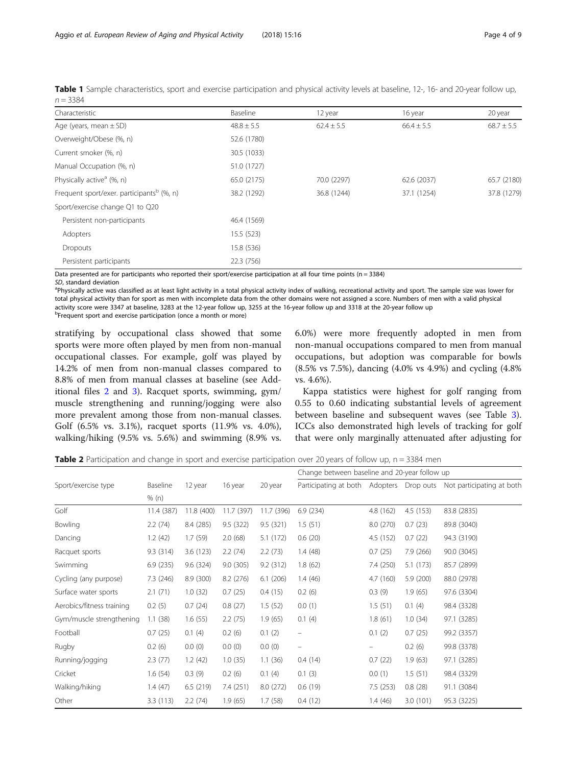<span id="page-3-0"></span>Table 1 Sample characteristics, sport and exercise participation and physical activity levels at baseline, 12-, 16- and 20-year follow up,  $n = 3384$ 

| Characteristic                                        | Baseline       | 12 year        | 16 year        | 20 year        |
|-------------------------------------------------------|----------------|----------------|----------------|----------------|
| Age (years, mean $\pm$ SD)                            | $48.8 \pm 5.5$ | $62.4 \pm 5.5$ | $66.4 \pm 5.5$ | $68.7 \pm 5.5$ |
| Overweight/Obese (%, n)                               | 52.6 (1780)    |                |                |                |
| Current smoker (%, n)                                 | 30.5 (1033)    |                |                |                |
| Manual Occupation (%, n)                              | 51.0 (1727)    |                |                |                |
| Physically active <sup>a</sup> (%, n)                 | 65.0 (2175)    | 70.0 (2297)    | 62.6 (2037)    | 65.7 (2180)    |
| Frequent sport/exer. participants <sup>b</sup> (%, n) | 38.2 (1292)    | 36.8 (1244)    | 37.1 (1254)    | 37.8 (1279)    |
| Sport/exercise change Q1 to Q20                       |                |                |                |                |
| Persistent non-participants                           | 46.4 (1569)    |                |                |                |
| Adopters                                              | 15.5 (523)     |                |                |                |
| Dropouts                                              | 15.8 (536)     |                |                |                |
| Persistent participants                               | 22.3 (756)     |                |                |                |

Data presented are for participants who reported their sport/exercise participation at all four time points (n = 3384)

<sup>a</sup>Physically active was classified as at least light activity in a total physical activity index of walking, recreational activity and sport. The sample size was lower for total physical activity than for sport as men with incomplete data from the other domains were not assigned a score. Numbers of men with a valid physical activity score were 3347 at baseline, 3283 at the 12-year follow up, 3255 at the 16-year follow up and 3318 at the 20-year follow up

<sup>b</sup>Frequent sport and exercise participation (once a month or more)

stratifying by occupational class showed that some sports were more often played by men from non-manual occupational classes. For example, golf was played by 14.2% of men from non-manual classes compared to 8.8% of men from manual classes at baseline (see Additional files [2](#page-7-0) and [3](#page-7-0)). Racquet sports, swimming, gym/ muscle strengthening and running/jogging were also more prevalent among those from non-manual classes. Golf (6.5% vs. 3.1%), racquet sports (11.9% vs. 4.0%), walking/hiking (9.5% vs. 5.6%) and swimming (8.9% vs. 6.0%) were more frequently adopted in men from non-manual occupations compared to men from manual occupations, but adoption was comparable for bowls (8.5% vs 7.5%), dancing (4.0% vs 4.9%) and cycling (4.8% vs. 4.6%).

Kappa statistics were highest for golf ranging from 0.55 to 0.60 indicating substantial levels of agreement between baseline and subsequent waves (see Table [3](#page-4-0)). ICCs also demonstrated high levels of tracking for golf that were only marginally attenuated after adjusting for

Table 2 Participation and change in sport and exercise participation over 20 years of follow up, n = 3384 men

|                           |            |            |            |            | Change between baseline and 20-year follow up |           |           |                           |
|---------------------------|------------|------------|------------|------------|-----------------------------------------------|-----------|-----------|---------------------------|
| Sport/exercise type       | Baseline   | 12 year    | 16 year    | 20 year    | Participating at both                         | Adopters  | Drop outs | Not participating at both |
|                           | % (n)      |            |            |            |                                               |           |           |                           |
| Golf                      | 11.4 (387) | 11.8 (400) | 11.7 (397) | 11.7 (396) | 6.9(234)                                      | 4.8 (162) | 4.5(153)  | 83.8 (2835)               |
| Bowling                   | 2.2(74)    | 8.4 (285)  | 9.5(322)   | 9.5(321)   | 1.5(51)                                       | 8.0 (270) | 0.7(23)   | 89.8 (3040)               |
| Dancing                   | 1.2(42)    | 1.7(59)    | 2.0(68)    | 5.1 (172)  | 0.6(20)                                       | 4.5 (152) | 0.7(22)   | 94.3 (3190)               |
| Racquet sports            | 9.3(314)   | 3.6(123)   | 2.2(74)    | 2.2(73)    | 1.4(48)                                       | 0.7(25)   | 7.9(266)  | 90.0 (3045)               |
| Swimming                  | 6.9(235)   | 9.6 (324)  | 9.0(305)   | 9.2(312)   | 1.8(62)                                       | 7.4 (250) | 5.1(173)  | 85.7 (2899)               |
| Cycling (any purpose)     | 7.3(246)   | 8.9 (300)  | 8.2 (276)  | 6.1(206)   | 1.4(46)                                       | 4.7(160)  | 5.9(200)  | 88.0 (2978)               |
| Surface water sports      | 2.1(71)    | 1.0(32)    | 0.7(25)    | 0.4(15)    | 0.2(6)                                        | 0.3(9)    | 1.9(65)   | 97.6 (3304)               |
| Aerobics/fitness training | 0.2(5)     | 0.7(24)    | 0.8(27)    | 1.5(52)    | 0.0(1)                                        | 1.5(51)   | 0.1(4)    | 98.4 (3328)               |
| Gym/muscle strengthening  | 1.1(38)    | 1.6(55)    | 2.2(75)    | 1.9(65)    | 0.1(4)                                        | 1.8(61)   | 1.0(34)   | 97.1 (3285)               |
| Football                  | 0.7(25)    | 0.1(4)     | 0.2(6)     | 0.1(2)     | -                                             | 0.1(2)    | 0.7(25)   | 99.2 (3357)               |
| Rugby                     | 0.2(6)     | 0.0(0)     | 0.0(0)     | 0.0(0)     | $\overline{\phantom{0}}$                      |           | 0.2(6)    | 99.8 (3378)               |
| Running/jogging           | 2.3(77)    | 1.2(42)    | 1.0(35)    | 1.1(36)    | 0.4(14)                                       | 0.7(22)   | 1.9(63)   | 97.1 (3285)               |
| Cricket                   | 1.6(54)    | 0.3(9)     | 0.2(6)     | 0.1(4)     | 0.1(3)                                        | 0.0(1)    | 1.5(51)   | 98.4 (3329)               |
| Walking/hiking            | 1.4(47)    | 6.5(219)   | 7.4(251)   | 8.0 (272)  | 0.6(19)                                       | 7.5(253)  | 0.8(28)   | 91.1 (3084)               |
| Other                     | 3.3(113)   | 2.2(74)    | 1.9(65)    | 1.7(58)    | 0.4(12)                                       | 1.4(46)   | 3.0(101)  | 95.3 (3225)               |

SD, standard deviation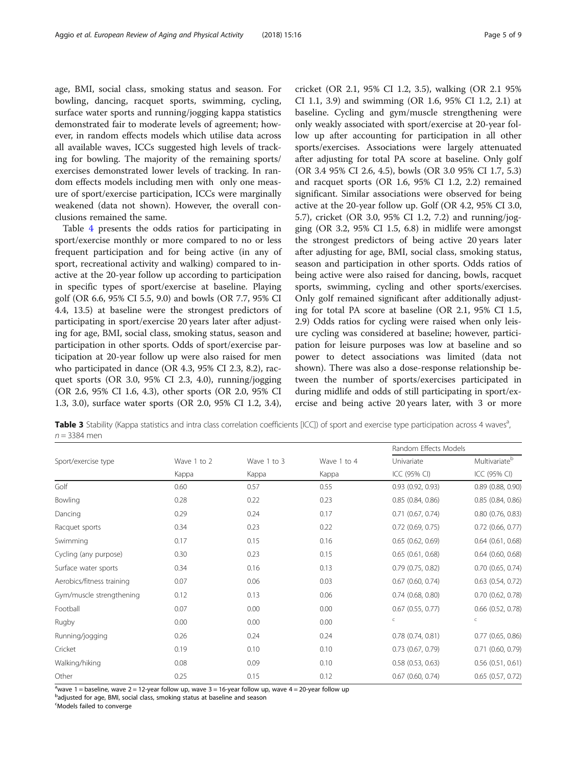<span id="page-4-0"></span>age, BMI, social class, smoking status and season. For bowling, dancing, racquet sports, swimming, cycling, surface water sports and running/jogging kappa statistics demonstrated fair to moderate levels of agreement; however, in random effects models which utilise data across all available waves, ICCs suggested high levels of tracking for bowling. The majority of the remaining sports/ exercises demonstrated lower levels of tracking. In random effects models including men with only one measure of sport/exercise participation, ICCs were marginally weakened (data not shown). However, the overall conclusions remained the same.

Table [4](#page-5-0) presents the odds ratios for participating in sport/exercise monthly or more compared to no or less frequent participation and for being active (in any of sport, recreational activity and walking) compared to inactive at the 20-year follow up according to participation in specific types of sport/exercise at baseline. Playing golf (OR 6.6, 95% CI 5.5, 9.0) and bowls (OR 7.7, 95% CI 4.4, 13.5) at baseline were the strongest predictors of participating in sport/exercise 20 years later after adjusting for age, BMI, social class, smoking status, season and participation in other sports. Odds of sport/exercise participation at 20-year follow up were also raised for men who participated in dance (OR 4.3, 95% CI 2.3, 8.2), racquet sports (OR 3.0, 95% CI 2.3, 4.0), running/jogging (OR 2.6, 95% CI 1.6, 4.3), other sports (OR 2.0, 95% CI 1.3, 3.0), surface water sports (OR 2.0, 95% CI 1.2, 3.4), cricket (OR 2.1, 95% CI 1.2, 3.5), walking (OR 2.1 95% CI 1.1, 3.9) and swimming (OR 1.6, 95% CI 1.2, 2.1) at baseline. Cycling and gym/muscle strengthening were only weakly associated with sport/exercise at 20-year follow up after accounting for participation in all other sports/exercises. Associations were largely attenuated after adjusting for total PA score at baseline. Only golf (OR 3.4 95% CI 2.6, 4.5), bowls (OR 3.0 95% CI 1.7, 5.3) and racquet sports (OR 1.6, 95% CI 1.2, 2.2) remained significant. Similar associations were observed for being active at the 20-year follow up. Golf (OR 4.2, 95% CI 3.0, 5.7), cricket (OR 3.0, 95% CI 1.2, 7.2) and running/jogging (OR 3.2, 95% CI 1.5, 6.8) in midlife were amongst the strongest predictors of being active 20 years later after adjusting for age, BMI, social class, smoking status, season and participation in other sports. Odds ratios of being active were also raised for dancing, bowls, racquet sports, swimming, cycling and other sports/exercises. Only golf remained significant after additionally adjusting for total PA score at baseline (OR 2.1, 95% CI 1.5, 2.9) Odds ratios for cycling were raised when only leisure cycling was considered at baseline; however, participation for leisure purposes was low at baseline and so power to detect associations was limited (data not shown). There was also a dose-response relationship between the number of sports/exercises participated in during midlife and odds of still participating in sport/exercise and being active 20 years later, with 3 or more

**Table 3** Stability (Kappa statistics and intra class correlation coefficients [ICC]) of sport and exercise type participation across 4 waves<sup>7</sup>, ا<br>,  $n = 3384$  men

|                           |             |             |             | Random Effects Models |                       |
|---------------------------|-------------|-------------|-------------|-----------------------|-----------------------|
| Sport/exercise type       | Wave 1 to 2 | Wave 1 to 3 | Wave 1 to 4 | Univariate            | Multivariateb         |
|                           | Kappa       | Kappa       | Kappa       | ICC (95% CI)          | ICC (95% CI)          |
| Golf                      | 0.60        | 0.57        | 0.55        | $0.93$ $(0.92, 0.93)$ | $0.89$ $(0.88, 0.90)$ |
| <b>Bowling</b>            | 0.28        | 0.22        | 0.23        | $0.85$ $(0.84, 0.86)$ | $0.85$ (0.84, 0.86)   |
| Dancing                   | 0.29        | 0.24        | 0.17        | $0.71$ $(0.67, 0.74)$ | $0.80$ (0.76, 0.83)   |
| Racquet sports            | 0.34        | 0.23        | 0.22        | $0.72$ (0.69, 0.75)   | $0.72$ (0.66, 0.77)   |
| Swimming                  | 0.17        | 0.15        | 0.16        | $0.65$ $(0.62, 0.69)$ | $0.64$ $(0.61, 0.68)$ |
| Cycling (any purpose)     | 0.30        | 0.23        | 0.15        | 0.65(0.61, 0.68)      | $0.64$ (0.60, 0.68)   |
| Surface water sports      | 0.34        | 0.16        | 0.13        | $0.79$ $(0.75, 0.82)$ | $0.70$ $(0.65, 0.74)$ |
| Aerobics/fitness training | 0.07        | 0.06        | 0.03        | $0.67$ (0.60, 0.74)   | $0.63$ $(0.54, 0.72)$ |
| Gym/muscle strengthening  | 0.12        | 0.13        | 0.06        | $0.74$ (0.68, 0.80)   | $0.70$ $(0.62, 0.78)$ |
| Football                  | 0.07        | 0.00        | 0.00        | $0.67$ (0.55, 0.77)   | $0.66$ $(0.52, 0.78)$ |
| Rugby                     | 0.00        | 0.00        | 0.00        | C                     | $\subset$             |
| Running/jogging           | 0.26        | 0.24        | 0.24        | $0.78$ $(0.74, 0.81)$ | $0.77$ $(0.65, 0.86)$ |
| Cricket                   | 0.19        | 0.10        | 0.10        | $0.73$ $(0.67, 0.79)$ | $0.71$ (0.60, 0.79)   |
| Walking/hiking            | 0.08        | 0.09        | 0.10        | $0.58$ $(0.53, 0.63)$ | 0.56(0.51, 0.61)      |
| Other                     | 0.25        | 0.15        | 0.12        | 0.67 (0.60, 0.74)     | $0.65$ $(0.57, 0.72)$ |

<sup>a</sup>wave 1 = baseline, wave 2 = 12-year follow up, wave 3 = 16-year follow up, wave 4 = 20-year follow up **b**adjusted for age, BMI, social class, smoking status at baseline and season

c Models failed to converge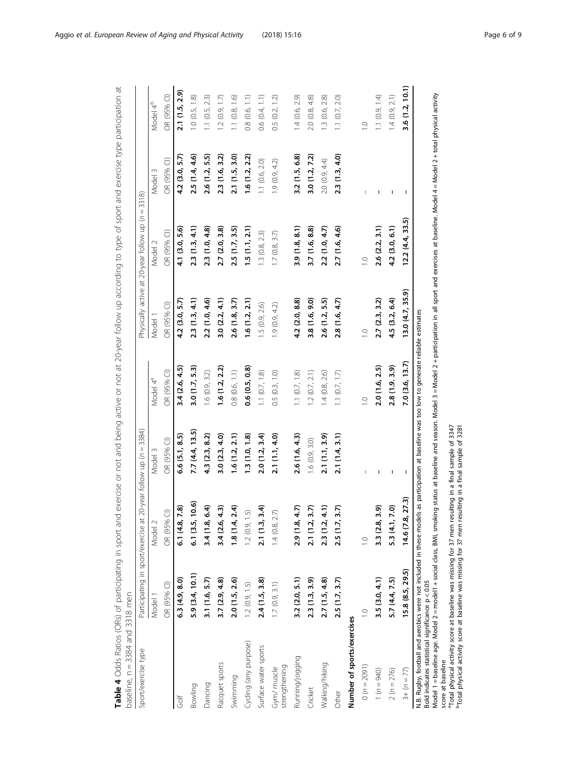| baseline, n = 3384 and 3318 men                                                                                                             |                  |                                                                 |                    |                      |                  |                                                   |               |                      |
|---------------------------------------------------------------------------------------------------------------------------------------------|------------------|-----------------------------------------------------------------|--------------------|----------------------|------------------|---------------------------------------------------|---------------|----------------------|
| Sport/exercise type                                                                                                                         |                  | Participating in sport/exercise at 20-year follow up (n = 3384) |                    |                      |                  | Physically active at 20-year follow up (n = 3318) |               |                      |
|                                                                                                                                             | Model 1          | Model 2                                                         | Model 3            | Model 4 <sup>ª</sup> | Model 1          | Model 2                                           | Model 3       | Model 4 <sup>b</sup> |
|                                                                                                                                             | OR (95% CI)      | OR (95% CI)                                                     | OR (95% CI)        | OR (95% CI)          | OR (95% CI)      | OR (95% CI)                                       | OR (95% CI)   | OR (95% CI)          |
| Golf                                                                                                                                        | 6.3(4.9, 8.0)    | බ<br>6.1(4.8, 7.                                                | $6.6$ $(5.1, 8.5)$ | 3.4(2.6, 4.5)        | 4.2 (3.0, 5.7)   | 4.1 (3.0, 5.6)                                    | 4.2(3.0, 5.7) | 2.1(1.5, 2.9)        |
| Bowling                                                                                                                                     | 5.9(3.4, 10.1)   | 6.1(3.5, 10.6)                                                  | 7.7(4.4, 13.5)     | 3.0(1.7, 5.3)        | 2.3(1.3, 4.1)    | 2.3(1.3, 4.1)                                     | 2.5(1.4, 4.6) | 1.0(0.5, 1.8)        |
| Dancing                                                                                                                                     | 3.1(1.6, 5.7)    | 3.4(1.8, 6.4)                                                   | 4.3 (2.3, 8.2)     | 1.6(0.9, 3.2)        | 2.2(1.0, 4.6)    | 2.3(1.0, 4.8)                                     | 2.6(1.2, 5.5) | 1.1(0.5, 2.3)        |
| Racquet sports                                                                                                                              | 3.7(2.9, 4.8)    | 3.4(2.6, 4.3)                                                   | 3.0(2.3, 4.0)      | 1.6(1.2, 2.2)        | 3.0(2.2, 4.1)    | 2.7(2.0, 3.8)                                     | 2.3(1.6, 3.2) | 1.2(0.9, 1.7)        |
| Swimming                                                                                                                                    | 2.0(1.5, 2.6)    | 1.8(1.4, 2.4)                                                   | 1.6(1.2, 2.1)      | 0.8(0.6, 1.1)        | 2.6(1.8, 3.7)    | 2.5(1.7, 3.5)                                     | 2.1(1.5, 3.0) | 1.1(0.8, 1.6)        |
| Cycling (any purpose)                                                                                                                       | 1.2(0.9, 1.5)    | 1.2(0.9, 1.5)                                                   | 1.3(1.0, 1.8)      | 0.6(0.5, 0.8)        | 1.6(1.2, 2.1)    | 1.5(1.1, 2.1)                                     | 1.6(1.2, 2.2) | 0.8(0.6, 1.1)        |
| Surface water sports                                                                                                                        | 2.4(1.5, 3.8)    | 2.1(1.3, 3.4)                                                   | 2.0(1.2, 3.4)      | 1.1(0.7, 1.8)        | $-5(0.9, 2.6)$   | .3(0.8, 2.3)                                      | 1.1(0.6, 2.0) | 0.6(0.4, 1.1)        |
| strengthening<br>Gym/ muscle                                                                                                                | 1.7(0.9, 3.1)    | 1.4(0.8, 2.7)                                                   | 2.1(1.1, 4.0)      | 0.5(0.3, 1.0)        | 1.9(0.9, 4.2)    | 1.7(0.8, 3.7)                                     | 1.9(0.9, 4.2) | 0.5(0.2, 1.2)        |
| Running/jogging                                                                                                                             | 3.2(2.0, 5.1)    | 2.9(1.8, 4.7)                                                   | 2.6(1.6, 4.3)      | 1.1 (0.7, 1.8)       | 4.2 (2.0, 8.8)   | 3.9(1.8, 8.1)                                     | 3.2(1.5, 6.8) | 1.4(0.6, 2.9)        |
| Cricket                                                                                                                                     | 2.3(1.3, 3.9)    | 2.1(1.2, 3.7)                                                   | 1.6(0.9, 3.0)      | 1.2(0.7, 2.1)        | 3.8 (1.6, 9.0)   | 3.7(1.6, 8.8)                                     | 3.0(1.2, 7.2) | 2.0(0.8, 4.8)        |
| Walking/hiking                                                                                                                              | 2.7(1.5, 4.8)    | 2.3(1.2, 4.1)                                                   | 2.1(1.1, 3.9)      | 1.4(0.8, 2.6)        | 2.6(1.2, 5.5)    | 2.2(1.0, 4.7)                                     | 2.0(0.9, 4.4) | 1.3(0.6, 2.8)        |
| Other                                                                                                                                       | 2.5(1.7, 3.7)    | 2.5(1.7, 3.7)                                                   | 2.1(1.4, 3.1)      | 1.1 (0.7, 1.7)       | 2.8(1.6, 4.7)    | 2.7(1.6, 4.6)                                     | 2.3(1.3, 4.0) | 1.1(0.7, 2.0)        |
| Number of sports/exercises                                                                                                                  |                  |                                                                 |                    |                      |                  |                                                   |               |                      |
| $0 (n = 2091)$                                                                                                                              | $\overline{a}$   | $\supseteq$                                                     |                    | $\overline{a}$       | $\supseteq$      | $\supseteq$                                       |               | $\supseteq$          |
| $1(n = 940)$                                                                                                                                | 3.5(3.0, 4.1)    | 3.3(2.8, 3.9)                                                   |                    | 2.0(1.6, 2.5)        | 2.7(2.3, 3.2)    | 2.6(2.2, 3.1)                                     |               | 1.1(0.9, 1.4)        |
| $2 (n = 276)$                                                                                                                               | 5.7(4.4, 7.5)    | 5.3 (4.1, 7.0)                                                  |                    | 2.8(1.9.3.9)         | 4.5 (3.2, 6.4)   | 4.2 (3.0, 6.1)                                    |               | 1.4(0.9, 2.1)        |
| $3 + (n = 77)$                                                                                                                              | 15.8 (8.5, 29.5) | 27.3)<br>14.6 (7.8,                                             |                    | 7.0(3.6, 13.7)       | (3.0 (4.7, 35.9) | 12.2(4.4, 33.5)                                   |               | 3.6(1.2, 10.1)       |
| N.B. Rugby, football and aerobics were not included in these models as participation at baseline was too low to generate reliable estimates |                  |                                                                 |                    |                      |                  |                                                   |               |                      |

<span id="page-5-0"></span>Table 4 Odds Ratios (ORs) of participating in sport and exercise or not and being active or not at 20-year follow up according to type of sport and exercise type participation at Table 4 Odds Ratios (ORs) of participating in sport and exercise or not and being active or not at 20-year follow up according to type of sport and exercise type participation at

Bold indicates statistical significance p < 0.05

Bold indicates statistical significance p < 0.05<br>Model 1 = baseline age. Model 2 = model1 + social class, BMI, smoking status at baseline and season. Model 2 + participation in all sport and exercises at baseline. Model 4 Model 1 = baseline age. Model 2 = model1 + social class, BMI, smoking status at baseline and season. Model 3 = Model 2 + participation in all sport and exercises at baseline. Model 4 = Model 2 + total physical activity score at baseline

score at baseline<br>"Total physical activity score at baseline was missing for 37 men resulting in a final sample of 3347<br><sup>b</sup>Total physical activity score at baseline was missing for 37 men resulting in a final sample of 328  $^{\circ}$ Total physical activity score at baseline was missing for 37 men resulting in a final sample of 3347

bTotal physical activity score at baseline was missing for 37 men resulting in a final sample of 3281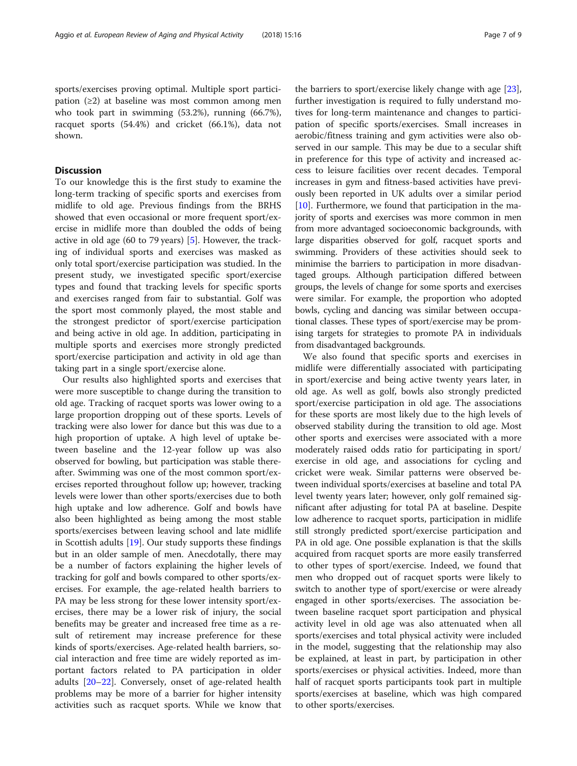#### **Discussion**

To our knowledge this is the first study to examine the long-term tracking of specific sports and exercises from midlife to old age. Previous findings from the BRHS showed that even occasional or more frequent sport/exercise in midlife more than doubled the odds of being active in old age (60 to 79 years) [\[5](#page-8-0)]. However, the tracking of individual sports and exercises was masked as only total sport/exercise participation was studied. In the present study, we investigated specific sport/exercise types and found that tracking levels for specific sports and exercises ranged from fair to substantial. Golf was the sport most commonly played, the most stable and the strongest predictor of sport/exercise participation and being active in old age. In addition, participating in multiple sports and exercises more strongly predicted sport/exercise participation and activity in old age than taking part in a single sport/exercise alone.

Our results also highlighted sports and exercises that were more susceptible to change during the transition to old age. Tracking of racquet sports was lower owing to a large proportion dropping out of these sports. Levels of tracking were also lower for dance but this was due to a high proportion of uptake. A high level of uptake between baseline and the 12-year follow up was also observed for bowling, but participation was stable thereafter. Swimming was one of the most common sport/exercises reported throughout follow up; however, tracking levels were lower than other sports/exercises due to both high uptake and low adherence. Golf and bowls have also been highlighted as being among the most stable sports/exercises between leaving school and late midlife in Scottish adults [[19](#page-8-0)]. Our study supports these findings but in an older sample of men. Anecdotally, there may be a number of factors explaining the higher levels of tracking for golf and bowls compared to other sports/exercises. For example, the age-related health barriers to PA may be less strong for these lower intensity sport/exercises, there may be a lower risk of injury, the social benefits may be greater and increased free time as a result of retirement may increase preference for these kinds of sports/exercises. Age-related health barriers, social interaction and free time are widely reported as important factors related to PA participation in older adults [\[20](#page-8-0)–[22\]](#page-8-0). Conversely, onset of age-related health problems may be more of a barrier for higher intensity activities such as racquet sports. While we know that

the barriers to sport/exercise likely change with age [\[23](#page-8-0)], further investigation is required to fully understand motives for long-term maintenance and changes to participation of specific sports/exercises. Small increases in aerobic/fitness training and gym activities were also observed in our sample. This may be due to a secular shift in preference for this type of activity and increased access to leisure facilities over recent decades. Temporal increases in gym and fitness-based activities have previously been reported in UK adults over a similar period [[10\]](#page-8-0). Furthermore, we found that participation in the majority of sports and exercises was more common in men from more advantaged socioeconomic backgrounds, with large disparities observed for golf, racquet sports and swimming. Providers of these activities should seek to minimise the barriers to participation in more disadvantaged groups. Although participation differed between groups, the levels of change for some sports and exercises were similar. For example, the proportion who adopted bowls, cycling and dancing was similar between occupational classes. These types of sport/exercise may be promising targets for strategies to promote PA in individuals from disadvantaged backgrounds.

We also found that specific sports and exercises in midlife were differentially associated with participating in sport/exercise and being active twenty years later, in old age. As well as golf, bowls also strongly predicted sport/exercise participation in old age. The associations for these sports are most likely due to the high levels of observed stability during the transition to old age. Most other sports and exercises were associated with a more moderately raised odds ratio for participating in sport/ exercise in old age, and associations for cycling and cricket were weak. Similar patterns were observed between individual sports/exercises at baseline and total PA level twenty years later; however, only golf remained significant after adjusting for total PA at baseline. Despite low adherence to racquet sports, participation in midlife still strongly predicted sport/exercise participation and PA in old age. One possible explanation is that the skills acquired from racquet sports are more easily transferred to other types of sport/exercise. Indeed, we found that men who dropped out of racquet sports were likely to switch to another type of sport/exercise or were already engaged in other sports/exercises. The association between baseline racquet sport participation and physical activity level in old age was also attenuated when all sports/exercises and total physical activity were included in the model, suggesting that the relationship may also be explained, at least in part, by participation in other sports/exercises or physical activities. Indeed, more than half of racquet sports participants took part in multiple sports/exercises at baseline, which was high compared to other sports/exercises.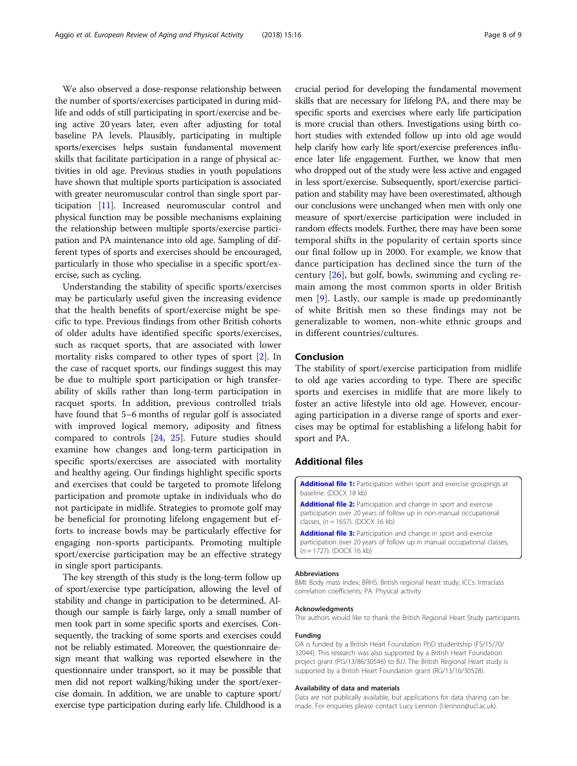<span id="page-7-0"></span>We also observed a dose-response relationship between the number of sports/exercises participated in during midlife and odds of still participating in sport/exercise and being active 20 years later, even after adjusting for total baseline PA levels. Plausibly, participating in multiple sports/exercises helps sustain fundamental movement skills that facilitate participation in a range of physical activities in old age. Previous studies in youth populations have shown that multiple sports participation is associated with greater neuromuscular control than single sport participation [[11](#page-8-0)]. Increased neuromuscular control and physical function may be possible mechanisms explaining the relationship between multiple sports/exercise participation and PA maintenance into old age. Sampling of different types of sports and exercises should be encouraged, particularly in those who specialise in a specific sport/exercise, such as cycling.

Understanding the stability of specific sports/exercises may be particularly useful given the increasing evidence that the health benefits of sport/exercise might be specific to type. Previous findings from other British cohorts of older adults have identified specific sports/exercises, such as racquet sports, that are associated with lower mortality risks compared to other types of sport [[2\]](#page-8-0). In the case of racquet sports, our findings suggest this may be due to multiple sport participation or high transferability of skills rather than long-term participation in racquet sports. In addition, previous controlled trials have found that 5–6 months of regular golf is associated with improved logical memory, adiposity and fitness compared to controls [[24](#page-8-0), [25\]](#page-8-0). Future studies should examine how changes and long-term participation in specific sports/exercises are associated with mortality and healthy ageing. Our findings highlight specific sports and exercises that could be targeted to promote lifelong participation and promote uptake in individuals who do not participate in midlife. Strategies to promote golf may be beneficial for promoting lifelong engagement but efforts to increase bowls may be particularly effective for engaging non-sports participants. Promoting multiple sport/exercise participation may be an effective strategy in single sport participants.

The key strength of this study is the long-term follow up of sport/exercise type participation, allowing the level of stability and change in participation to be determined. Although our sample is fairly large, only a small number of men took part in some specific sports and exercises. Consequently, the tracking of some sports and exercises could not be reliably estimated. Moreover, the questionnaire design meant that walking was reported elsewhere in the questionnaire under transport, so it may be possible that men did not report walking/hiking under the sport/exercise domain. In addition, we are unable to capture sport/ exercise type participation during early life. Childhood is a

crucial period for developing the fundamental movement skills that are necessary for lifelong PA, and there may be specific sports and exercises where early life participation is more crucial than others. Investigations using birth cohort studies with extended follow up into old age would help clarify how early life sport/exercise preferences influence later life engagement. Further, we know that men who dropped out of the study were less active and engaged in less sport/exercise. Subsequently, sport/exercise participation and stability may have been overestimated, although our conclusions were unchanged when men with only one measure of sport/exercise participation were included in random effects models. Further, there may have been some temporal shifts in the popularity of certain sports since our final follow up in 2000. For example, we know that dance participation has declined since the turn of the century [[26\]](#page-8-0), but golf, bowls, swimming and cycling remain among the most common sports in older British men [[9](#page-8-0)]. Lastly, our sample is made up predominantly of white British men so these findings may not be generalizable to women, non-white ethnic groups and in different countries/cultures.

#### Conclusion

The stability of sport/exercise participation from midlife to old age varies according to type. There are specific sports and exercises in midlife that are more likely to foster an active lifestyle into old age. However, encouraging participation in a diverse range of sports and exercises may be optimal for establishing a lifelong habit for sport and PA.

#### Additional files

[Additional file 1:](https://doi.org/10.1186/s11556-018-0205-y) Participation within sport and exercise groupings at baseline. (DOCX 18 kb)

[Additional file 2:](https://doi.org/10.1186/s11556-018-0205-y) Participation and change in sport and exercise participation over 20 years of follow up in non-manual occupational classes,  $(n = 1657)$ . (DOCX 16 kb)

[Additional file 3:](https://doi.org/10.1186/s11556-018-0205-y) Participation and change in sport and exercise participation over 20 years of follow up in manual occupational classes,  $(n = 1727)$ . (DOCX 16 kb)

#### Abbreviations

BMI: Body mass index; BRHS: British regional heart study; ICCs: Intraclass correlation coefficients; PA: Physical activity

#### Acknowledgments

The authors would like to thank the British Regional Heart Study participants.

#### Funding

DA is funded by a British Heart Foundation PhD studentship (FS/15/70/ 32044). This research was also supported by a British Heart Foundation project grant (PG/13/86/30546) to BJJ. The British Regional Heart study is supported by a British Heart Foundation grant (RG/13/16/30528).

#### Availability of data and materials

Data are not publically available, but applications for data sharing can be made. For enquiries please contact Lucy Lennon (l.lennon@ucl.ac.uk).